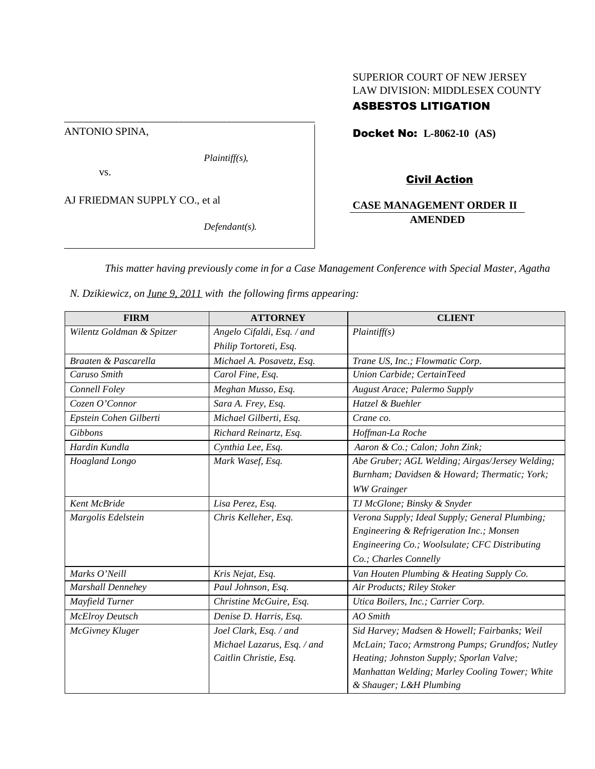# SUPERIOR COURT OF NEW JERSEY LAW DIVISION: MIDDLESEX COUNTY

# ASBESTOS LITIGATION

ANTONIO SPINA,

*Plaintiff(s),*

\_\_\_\_\_\_\_\_\_\_\_\_\_\_\_\_\_\_\_\_\_\_\_\_\_\_\_\_\_\_\_\_\_\_\_\_\_\_\_\_\_\_\_\_\_\_\_

vs.

AJ FRIEDMAN SUPPLY CO., et al

*Defendant(s).*

Docket No: **L-8062-10 (AS)**

# Civil Action

## **CASE MANAGEMENT ORDER II AMENDED**

*This matter having previously come in for a Case Management Conference with Special Master, Agatha*

*N. Dzikiewicz, on June 9, 2011 with the following firms appearing:*

| <b>FIRM</b>               | <b>ATTORNEY</b>             | <b>CLIENT</b>                                   |
|---------------------------|-----------------------------|-------------------------------------------------|
| Wilentz Goldman & Spitzer | Angelo Cifaldi, Esq. / and  | Plaintiff(s)                                    |
|                           | Philip Tortoreti, Esq.      |                                                 |
| Braaten & Pascarella      | Michael A. Posavetz, Esq.   | Trane US, Inc.; Flowmatic Corp.                 |
| Caruso Smith              | Carol Fine, Esq.            | Union Carbide; CertainTeed                      |
| Connell Foley             | Meghan Musso, Esq.          | August Arace; Palermo Supply                    |
| Cozen O'Connor            | Sara A. Frey, Esq.          | Hatzel & Buehler                                |
| Epstein Cohen Gilberti    | Michael Gilberti, Esq.      | Crane co.                                       |
| Gibbons                   | Richard Reinartz, Esq.      | Hoffman-La Roche                                |
| Hardin Kundla             | Cynthia Lee, Esq.           | Aaron & Co.; Calon; John Zink;                  |
| Hoagland Longo            | Mark Wasef, Esq.            | Abe Gruber; AGL Welding; Airgas/Jersey Welding; |
|                           |                             | Burnham; Davidsen & Howard; Thermatic; York;    |
|                           |                             | <b>WW</b> Grainger                              |
| <b>Kent McBride</b>       | Lisa Perez, Esq.            | TJ McGlone; Binsky & Snyder                     |
| Margolis Edelstein        | Chris Kelleher, Esq.        | Verona Supply; Ideal Supply; General Plumbing;  |
|                           |                             | Engineering & Refrigeration Inc.; Monsen        |
|                           |                             | Engineering Co.; Woolsulate; CFC Distributing   |
|                           |                             | Co.; Charles Connelly                           |
| Marks O'Neill             | Kris Nejat, Esq.            | Van Houten Plumbing & Heating Supply Co.        |
| <b>Marshall Dennehey</b>  | Paul Johnson, Esq.          | Air Products; Riley Stoker                      |
| Mayfield Turner           | Christine McGuire, Esq.     | Utica Boilers, Inc.; Carrier Corp.              |
| <b>McElroy Deutsch</b>    | Denise D. Harris, Esq.      | <b>AO</b> Smith                                 |
| McGivney Kluger           | Joel Clark, Esq. / and      | Sid Harvey; Madsen & Howell; Fairbanks; Weil    |
|                           | Michael Lazarus, Esq. / and | McLain; Taco; Armstrong Pumps; Grundfos; Nutley |
|                           | Caitlin Christie, Esq.      | Heating; Johnston Supply; Sporlan Valve;        |
|                           |                             | Manhattan Welding; Marley Cooling Tower; White  |
|                           |                             | & Shauger; L&H Plumbing                         |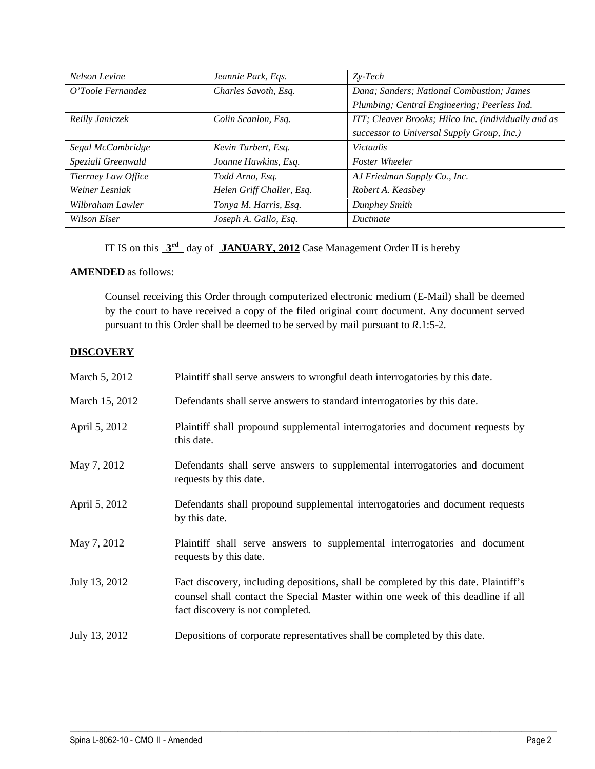| Nelson Levine       | Jeannie Park, Eqs.        | $Zv-Tech$                                            |
|---------------------|---------------------------|------------------------------------------------------|
| O'Toole Fernandez   | Charles Savoth, Esq.      | Dana; Sanders; National Combustion; James            |
|                     |                           | Plumbing; Central Engineering; Peerless Ind.         |
| Reilly Janiczek     | Colin Scanlon, Esq.       | ITT; Cleaver Brooks; Hilco Inc. (individually and as |
|                     |                           | successor to Universal Supply Group, Inc.)           |
| Segal McCambridge   | Kevin Turbert, Esq.       | <i>Victaulis</i>                                     |
| Speziali Greenwald  | Joanne Hawkins, Esq.      | <b>Foster Wheeler</b>                                |
| Tierrney Law Office | Todd Arno, Esq.           | AJ Friedman Supply Co., Inc.                         |
| Weiner Lesniak      | Helen Griff Chalier, Esq. | Robert A. Keasbey                                    |
| Wilbraham Lawler    | Tonya M. Harris, Esq.     | Dunphey Smith                                        |
| Wilson Elser        | Joseph A. Gallo, Esq.     | Ductmate                                             |

IT IS on this  $3^{\text{rd}}$  day of **JANUARY, 2012** Case Management Order II is hereby

## **AMENDED** as follows:

Counsel receiving this Order through computerized electronic medium (E-Mail) shall be deemed by the court to have received a copy of the filed original court document. Any document served pursuant to this Order shall be deemed to be served by mail pursuant to *R*.1:5-2.

# **DISCOVERY**

| March 5, 2012  | Plaintiff shall serve answers to wrongful death interrogatories by this date.                                                                                                                               |
|----------------|-------------------------------------------------------------------------------------------------------------------------------------------------------------------------------------------------------------|
| March 15, 2012 | Defendants shall serve answers to standard interrogatories by this date.                                                                                                                                    |
| April 5, 2012  | Plaintiff shall propound supplemental interrogatories and document requests by<br>this date.                                                                                                                |
| May 7, 2012    | Defendants shall serve answers to supplemental interrogatories and document<br>requests by this date.                                                                                                       |
| April 5, 2012  | Defendants shall propound supplemental interrogatories and document requests<br>by this date.                                                                                                               |
| May 7, 2012    | Plaintiff shall serve answers to supplemental interrogatories and document<br>requests by this date.                                                                                                        |
| July 13, 2012  | Fact discovery, including depositions, shall be completed by this date. Plaintiff's<br>counsel shall contact the Special Master within one week of this deadline if all<br>fact discovery is not completed. |
| July 13, 2012  | Depositions of corporate representatives shall be completed by this date.                                                                                                                                   |

 $\mathcal{L}_\mathcal{L} = \{ \mathcal{L}_\mathcal{L} = \{ \mathcal{L}_\mathcal{L} = \{ \mathcal{L}_\mathcal{L} = \{ \mathcal{L}_\mathcal{L} = \{ \mathcal{L}_\mathcal{L} = \{ \mathcal{L}_\mathcal{L} = \{ \mathcal{L}_\mathcal{L} = \{ \mathcal{L}_\mathcal{L} = \{ \mathcal{L}_\mathcal{L} = \{ \mathcal{L}_\mathcal{L} = \{ \mathcal{L}_\mathcal{L} = \{ \mathcal{L}_\mathcal{L} = \{ \mathcal{L}_\mathcal{L} = \{ \mathcal{L}_\mathcal{$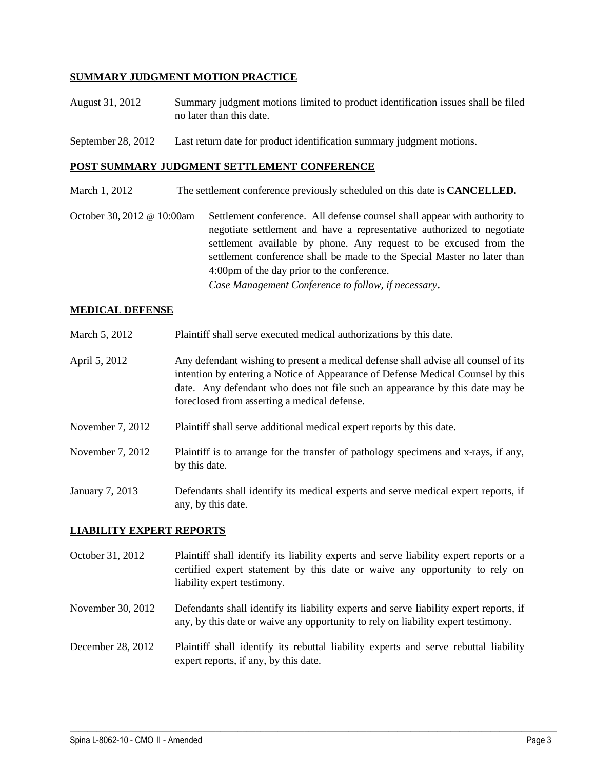### **SUMMARY JUDGMENT MOTION PRACTICE**

- August 31, 2012 Summary judgment motions limited to product identification issues shall be filed no later than this date.
- September 28, 2012 Last return date for product identification summary judgment motions.

#### **POST SUMMARY JUDGMENT SETTLEMENT CONFERENCE**

- March 1, 2012 The settlement conference previously scheduled on this date is **CANCELLED.**
- October 30, 2012 @ 10:00am Settlement conference. All defense counsel shall appear with authority to negotiate settlement and have a representative authorized to negotiate settlement available by phone. Any request to be excused from the settlement conference shall be made to the Special Master no later than 4:00pm of the day prior to the conference. *Case Management Conference to follow, if necessary***.**

#### **MEDICAL DEFENSE**

- March 5, 2012 Plaintiff shall serve executed medical authorizations by this date.
- April 5, 2012 Any defendant wishing to present a medical defense shall advise all counsel of its intention by entering a Notice of Appearance of Defense Medical Counsel by this date. Any defendant who does not file such an appearance by this date may be foreclosed from asserting a medical defense.
- November 7, 2012 Plaintiff shall serve additional medical expert reports by this date.
- November 7, 2012 Plaintiff is to arrange for the transfer of pathology specimens and x-rays, if any, by this date.

January 7, 2013 Defendants shall identify its medical experts and serve medical expert reports, if any, by this date.

### **LIABILITY EXPERT REPORTS**

- October 31, 2012 Plaintiff shall identify its liability experts and serve liability expert reports or a certified expert statement by this date or waive any opportunity to rely on liability expert testimony.
- November 30, 2012 Defendants shall identify its liability experts and serve liability expert reports, if any, by this date or waive any opportunity to rely on liability expert testimony.
- December 28, 2012 Plaintiff shall identify its rebuttal liability experts and serve rebuttal liability expert reports, if any, by this date.

 $\mathcal{L}_\mathcal{L} = \{ \mathcal{L}_\mathcal{L} = \{ \mathcal{L}_\mathcal{L} = \{ \mathcal{L}_\mathcal{L} = \{ \mathcal{L}_\mathcal{L} = \{ \mathcal{L}_\mathcal{L} = \{ \mathcal{L}_\mathcal{L} = \{ \mathcal{L}_\mathcal{L} = \{ \mathcal{L}_\mathcal{L} = \{ \mathcal{L}_\mathcal{L} = \{ \mathcal{L}_\mathcal{L} = \{ \mathcal{L}_\mathcal{L} = \{ \mathcal{L}_\mathcal{L} = \{ \mathcal{L}_\mathcal{L} = \{ \mathcal{L}_\mathcal{$